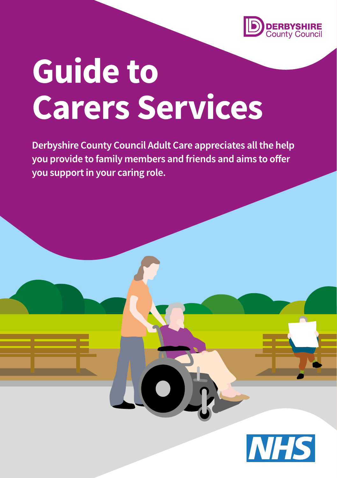

# **Guide to Carers Services**

Derbyshire County Council Adult Care appreciates all the help you provide to family members and friends and aims to offer you support in your caring role.

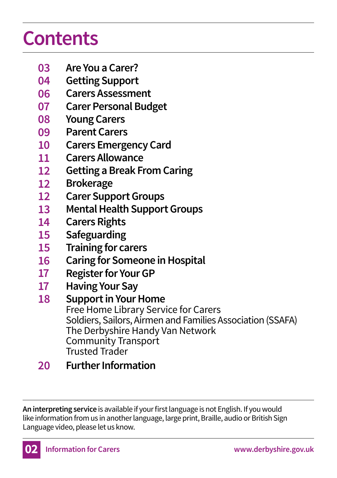### **Contents**

- **Are You a Carer? 03**
- **Getting Support 04**
- **Carers Assessment 06**
- **Carer Personal Budget 07**
- **Young Carers 08**
- **Parent Carers 09**
- **Carers Emergency Card 10**
- **Carers Allowance 11**
- **Getting a Break From Caring 12**
- **Brokerage 12**
- **Carer Support Groups 12**
- **Mental Health Support Groups 13**
- **Carers Rights 14**
- **Safeguarding 15**
- **Training for carers 15**
- **Caring for Someone in Hospital 16**
- **Register for Your GP 17**
- **Having Your Say 17**
- **Support in Your Home** Free Home Library Service for Carers Soldiers, Sailors, Airmen and Families Association (SSAFA) The Derbyshire Handy Van Network Community Transport Trusted Trader **18**
- **Further Information 20**

**An interpreting service** is available if your first language is not English. If you would like information from us in another language, large print, Braille, audio or British Sign Language video, please let us know.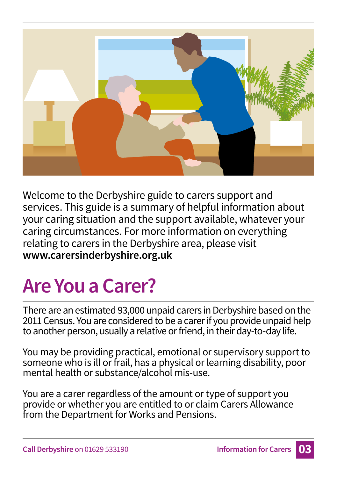

Welcome to the Derbyshire guide to carers support and services. This guide is a summary of helpful information about your caring situation and the support available, whatever your caring circumstances. For more information on everything relating to carers in the Derbyshire area, please visit **www.carersinderbyshire.org.uk**

# **Are You a Carer?**

There are an estimated 93,000 unpaid carers in Derbyshire based on the 2011 Census. You are considered to be a carer if you provide unpaid help to another person, usually a relative or friend, in their day-to-day life.

You may be providing practical, emotional or supervisory support to someone who is ill or frail, has a physical or learning disability, poor mental health or substance/alcohol mis-use.

You are a carer regardless of the amount or type of support you provide or whether you are entitled to or claim Carers Allowance from the Department for Works and Pensions.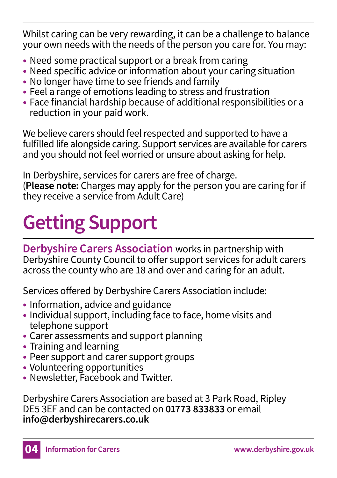Whilst caring can be very rewarding, it can be a challenge to balance your own needs with the needs of the person you care for. You may:

- Need some practical support or a break from caring
- Need specific advice or information about your caring situation
- No longer have time to see friends and family
- Feel a range of emotions leading to stress and frustration
- Face financial hardship because of additional responsibilities or a reduction in your paid work.

We believe carers should feel respected and supported to have a fulfilled life alongside caring. Support services are available for carers and you should not feel worried or unsure about asking for help.

In Derbyshire, services for carers are free of charge. (**Please note:** Charges may apply for the person you are caring for if they receive a service from Adult Care)

# **Getting Support**

**Derbyshire Carers Association** works in partnership with Derbyshire County Council to offer support services for adult carers across the county who are 18 and over and caring for an adult.

Services offered by Derbyshire Carers Association include:

- Information, advice and guidance
- Individual support, including face to face, home visits and telephone support
- Carer assessments and support planning
- Training and learning
- Peer support and carer support groups
- Volunteering opportunities
- Newsletter, Facebook and Twitter.

Derbyshire Carers Association are based at 3 Park Road, Ripley DE5 3EF and can be contacted on **01773 833833** or email **info@derbyshirecarers.co.uk**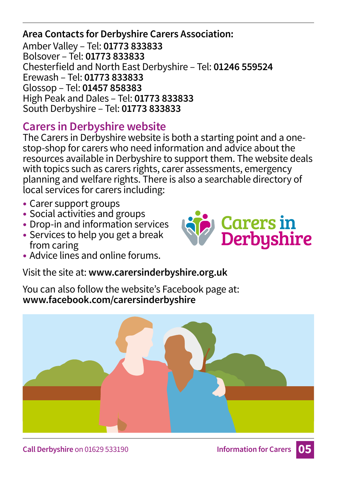**Area Contacts for Derbyshire Carers Association:** Amber Valley – Tel: **01773 833833** Bolsover – Tel: **01773 833833** Chesterfield and North East Derbyshire – Tel: **01246 559524** Erewash – Tel: **01773 833833** Glossop – Tel: **01457 858383** High Peak and Dales – Tel: **01773 833833** South Derbyshire – Tel: **01773 833833**

### **Carers in Derbyshire website**

The Carers in Derbyshire website is both a starting point and a onestop-shop for carers who need information and advice about the resources available in Derbyshire to support them. The website deals with topics such as carers rights, carer assessments, emergency planning and welfare rights. There is also a searchable directory of local services for carers including:

- Carer support groups
- Social activities and groups
- Drop-in and information services
- Services to help you get a break from caring
- Advice lines and online forums.

Visit the site at: **www.carersinderbyshire.org.uk** 

You can also follow the website's Facebook page at: **www.facebook.com/carersinderbyshire**



**Carers in<br>Derbyshire**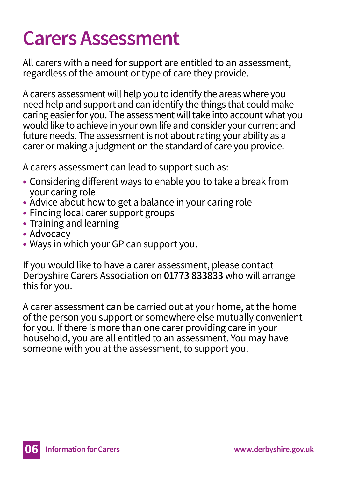# **Carers Assessment**

All carers with a need for support are entitled to an assessment, regardless of the amount or type of care they provide.

A carers assessment will help you to identify the areas where you need help and support and can identify the things that could make caring easier for you. The assessment will take into account what you would like to achieve in your own life and consider your current and future needs. The assessment is not about rating your ability as a carer or making a judgment on the standard of care you provide.

A carers assessment can lead to support such as:

- Considering different ways to enable you to take a break from your caring role
- Advice about how to get a balance in your caring role
- Finding local carer support groups
- Training and learning
- Advocacy
- Ways in which your GP can support you.

If you would like to have a carer assessment, please contact Derbyshire Carers Association on **01773 833833** who will arrange this for you.

A carer assessment can be carried out at your home, at the home of the person you support or somewhere else mutually convenient for you. If there is more than one carer providing care in your household, you are all entitled to an assessment. You may have someone with you at the assessment, to support you.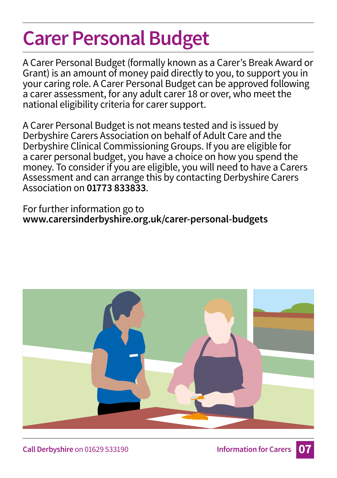# **Carer Personal Budget**

A Carer Personal Budget (formally known as a Carer's Break Award or Grant) is an amount of money paid directly to you, to support you in your caring role. A Carer Personal Budget can be approved following a carer assessment, for any adult carer 18 or over, who meet the national eligibility criteria for carer support.

A Carer Personal Budget is not means tested and is issued by Derbyshire Carers Association on behalf of Adult Care and the Derbyshire Clinical Commissioning Groups. If you are eligible for a carer personal budget, you have a choice on how you spend the money. To consider if you are eligible, you will need to have a Carers Assessment and can arrange this by contacting Derbyshire Carers Association on **01773 833833**.

For further information go to **www.carersinderbyshire.org.uk/carer-personal-budgets** 

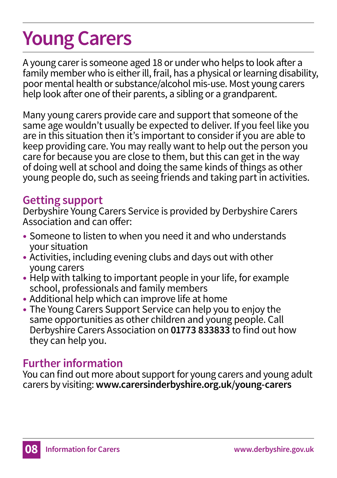# **Young Carers**

A young carer is someone aged 18 or under who helps to look after a family member who is either ill, frail, has a physical or learning disability, poor mental health or substance/alcohol mis-use. Most young carers help look after one of their parents, a sibling or a grandparent.

Many young carers provide care and support that someone of the same age wouldn't usually be expected to deliver. If you feel like you are in this situation then it's important to consider if you are able to keep providing care. You may really want to help out the person you care for because you are close to them, but this can get in the way of doing well at school and doing the same kinds of things as other young people do, such as seeing friends and taking part in activities.

### **Getting support**

Derbyshire Young Carers Service is provided by Derbyshire Carers Association and can offer:

- Someone to listen to when you need it and who understands your situation
- Activities, including evening clubs and days out with other young carers
- Help with talking to important people in your life, for example school, professionals and family members
- Additional help which can improve life at home
- The Young Carers Support Service can help you to enjoy the same opportunities as other children and young people. Call Derbyshire Carers Association on **01773 833833** to find out how they can help you.

### **Further information**

You can find out more about support for young carers and young adult carers by visiting: **www.carersinderbyshire.org.uk/young-carers**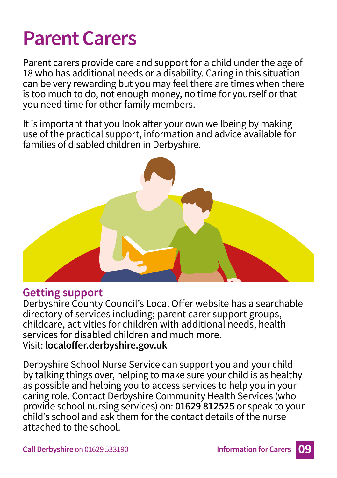### **Parent Carers**

Parent carers provide care and support for a child under the age of 18 who has additional needs or a disability. Caring in this situation can be very rewarding but you may feel there are times when there is too much to do, not enough money, no time for yourself or that you need time for other family members.

It is important that you look after your own wellbeing by making use of the practical support, information and advice available for families of disabled children in Derbyshire.



#### **Getting support**

Derbyshire County Council's Local Offer website has a searchable directory of services including; parent carer support groups, childcare, activities for children with additional needs, health services for disabled children and much more. Visit: **localoffer.derbyshire.gov.uk**

Derbyshire School Nurse Service can support you and your child by talking things over, helping to make sure your child is as healthy as possible and helping you to access services to help you in your caring role. Contact Derbyshire Community Health Services (who provide school nursing services) on: **01629 812525** or speak to your child's school and ask them for the contact details of the nurse attached to the school.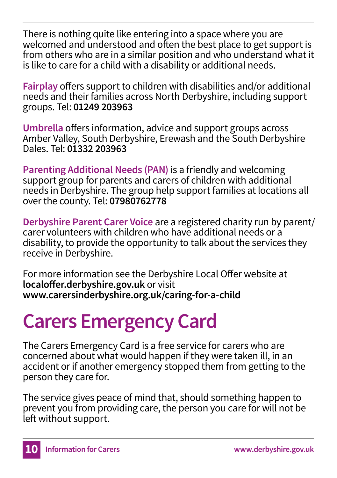There is nothing quite like entering into a space where you are welcomed and understood and often the best place to get support is from others who are in a similar position and who understand what it is like to care for a child with a disability or additional needs.

**Fairplay** offers support to children with disabilities and/or additional needs and their families across North Derbyshire, including support groups. Tel: **01249 203963**

**Umbrella** offers information, advice and support groups across Amber Valley, South Derbyshire, Erewash and the South Derbyshire Dales. Tel: **01332 203963**

**Parenting Additional Needs (PAN)** is a friendly and welcoming support group for parents and carers of children with additional needs in Derbyshire. The group help support families at locations all over the county. Tel: **07980762778**

**Derbyshire Parent Carer Voice** are a registered charity run by parent/ carer volunteers with children who have additional needs or a disability, to provide the opportunity to talk about the services they receive in Derbyshire.

For more information see the Derbyshire Local Offer website at **localoffer.derbyshire.gov.uk** or visit **www.carersinderbyshire.org.uk/caring-for-a-child**

# **Carers Emergency Card**

The Carers Emergency Card is a free service for carers who are concerned about what would happen if they were taken ill, in an accident or if another emergency stopped them from getting to the person they care for.

The service gives peace of mind that, should something happen to prevent you from providing care, the person you care for will not be left without support.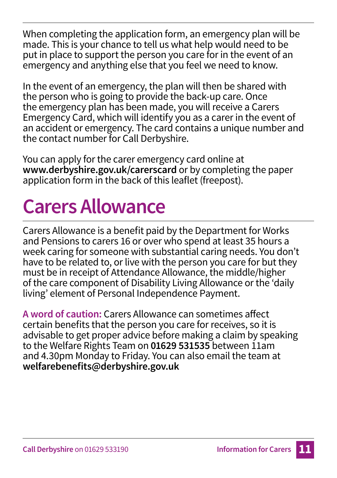When completing the application form, an emergency plan will be made. This is your chance to tell us what help would need to be put in place to support the person you care for in the event of an emergency and anything else that you feel we need to know.

In the event of an emergency, the plan will then be shared with the person who is going to provide the back-up care. Once the emergency plan has been made, you will receive a Carers Emergency Card, which will identify you as a carer in the event of an accident or emergency. The card contains a unique number and the contact number for Call Derbyshire.

You can apply for the carer emergency card online at **www.derbyshire.gov.uk/carerscard** or by completing the paper application form in the back of this leaflet (freepost).

### **Carers Allowance**

Carers Allowance is a benefit paid by the Department for Works and Pensions to carers 16 or over who spend at least 35 hours a week caring for someone with substantial caring needs. You don't have to be related to, or live with the person you care for but they must be in receipt of Attendance Allowance, the middle/higher of the care component of Disability Living Allowance or the 'daily living' element of Personal Independence Payment.

**A word of caution:** Carers Allowance can sometimes affect certain benefits that the person you care for receives, so it is advisable to get proper advice before making a claim by speaking to the Welfare Rights Team on **01629 531535** between 11am and 4.30pm Monday to Friday. You can also email the team at **welfarebenefits@derbyshire.gov.uk**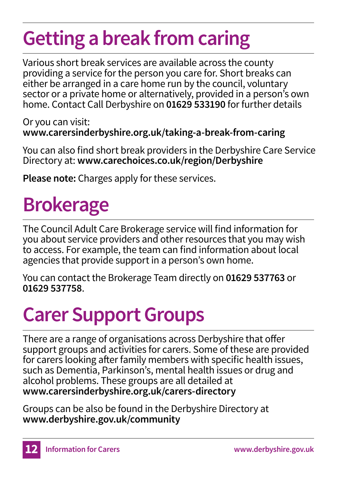# **Getting a break from caring**

Various short break services are available across the county providing a service for the person you care for. Short breaks can either be arranged in a care home run by the council, voluntary sector or a private home or alternatively, provided in a person's own home. Contact Call Derbyshire on **01629 533190** for further details

Or you can visit: **www.carersinderbyshire.org.uk/taking-a-break-from-caring** 

You can also find short break providers in the Derbyshire Care Service Directory at: **www.carechoices.co.uk/region/Derbyshire**

**Please note:** Charges apply for these services.

# **Brokerage**

The Council Adult Care Brokerage service will find information for you about service providers and other resources that you may wish to access. For example, the team can find information about local agencies that provide support in a person's own home.

You can contact the Brokerage Team directly on **01629 537763** or **01629 537758**.

# **Carer Support Groups**

There are a range of organisations across Derbyshire that offer support groups and activities for carers. Some of these are provided for carers looking after family members with specific health issues, such as Dementia, Parkinson's, mental health issues or drug and alcohol problems. These groups are all detailed at **www.carersinderbyshire.org.uk/carers-directory**

Groups can be also be found in the Derbyshire Directory at **www.derbyshire.gov.uk/community**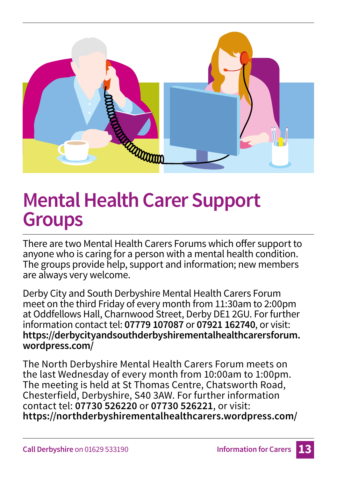

### **Mental Health Carer Support Groups**

There are two Mental Health Carers Forums which offer support to anyone who is caring for a person with a mental health condition. The groups provide help, support and information; new members are always very welcome.

Derby City and South Derbyshire Mental Health Carers Forum meet on the third Friday of every month from 11:30am to 2:00pm at Oddfellows Hall, Charnwood Street, Derby DE1 2GU. For further information contact tel: **07779 107087** or **07921 162740**, or visit: **https://derbycityandsouthderbyshirementalhealthcarersforum. wordpress.com/**

The North Derbyshire Mental Health Carers Forum meets on the last Wednesday of every month from 10:00am to 1:00pm. The meeting is held at St Thomas Centre, Chatsworth Road, Chesterfield, Derbyshire, S40 3AW. For further information contact tel: **07730 526220** or **07730 526221**, or visit: **https://northderbyshirementalhealthcarers.wordpress.com/**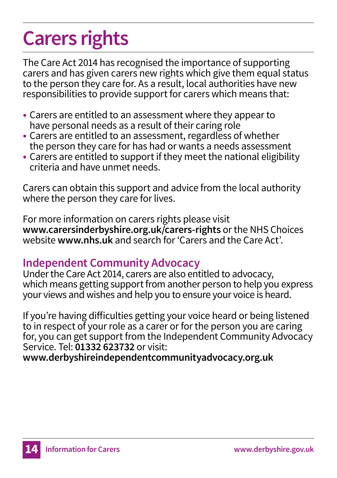# **Carers rights**

The Care Act 2014 has recognised the importance of supporting carers and has given carers new rights which give them equal status to the person they care for. As a result, local authorities have new responsibilities to provide support for carers which means that:

- Carers are entitled to an assessment where they appear to have personal needs as a result of their caring role
- Carers are entitled to an assessment, regardless of whether the person they care for has had or wants a needs assessment
- Carers are entitled to support if they meet the national eligibility criteria and have unmet needs.

Carers can obtain this support and advice from the local authority where the person they care for lives.

For more information on carers rights please visit **www.carersinderbyshire.org.uk/carers-rights** or the NHS Choices website **www.nhs.uk** and search for 'Carers and the Care Act'.

#### **Independent Community Advocacy**

Under the Care Act 2014, carers are also entitled to advocacy, which means getting support from another person to help you express your views and wishes and help you to ensure your voice is heard.

If you're having difficulties getting your voice heard or being listened to in respect of your role as a carer or for the person you are caring for, you can get support from the Independent Community Advocacy Service. Tel: **01332 623732** or visit:

**www.derbyshireindependentcommunityadvocacy.org.uk**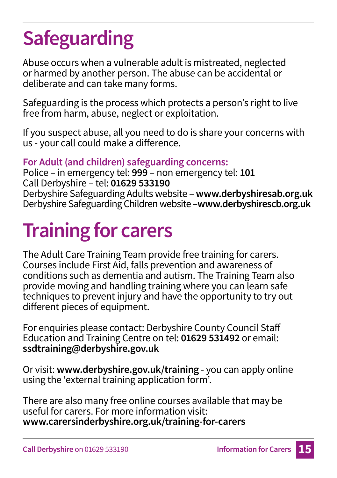# **Safeguarding**

Abuse occurs when a vulnerable adult is mistreated, neglected or harmed by another person. The abuse can be accidental or deliberate and can take many forms.

Safeguarding is the process which protects a person's right to live free from harm, abuse, neglect or exploitation.

If you suspect abuse, all you need to do is share your concerns with us - your call could make a difference.

#### **For Adult (and children) safeguarding concerns:**

Police – in emergency tel: **999** – non emergency tel: **101** Call Derbyshire – tel: **01629 533190** Derbyshire Safeguarding Adults website – **www.derbyshiresab.org.uk** Derbyshire Safeguarding Children website –**www.derbyshirescb.org.uk** 

### **Training for carers**

The Adult Care Training Team provide free training for carers. Courses include First Aid, falls prevention and awareness of conditions such as dementia and autism. The Training Team also provide moving and handling training where you can learn safe techniques to prevent injury and have the opportunity to try out different pieces of equipment.

For enquiries please contact: Derbyshire County Council Staff Education and Training Centre on tel: **01629 531492** or email: **ssdtraining@derbyshire.gov.uk**

Or visit: **www.derbyshire.gov.uk/training** - you can apply online using the 'external training application form'.

There are also many free online courses available that may be useful for carers. For more information visit: **www.carersinderbyshire.org.uk/training-for-carers**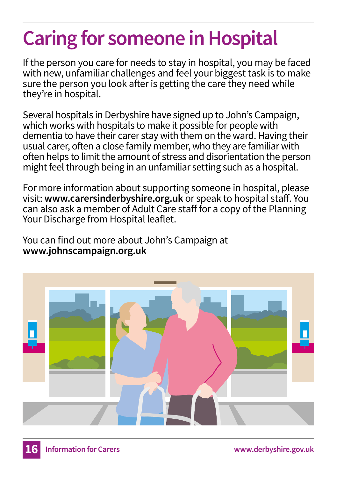# **Caring for someone in Hospital**

If the person you care for needs to stay in hospital, you may be faced with new, unfamiliar challenges and feel your biggest task is to make sure the person you look after is getting the care they need while they're in hospital.

Several hospitals in Derbyshire have signed up to John's Campaign, which works with hospitals to make it possible for people with dementia to have their carer stay with them on the ward. Having their usual carer, often a close family member, who they are familiar with often helps to limit the amount of stress and disorientation the person might feel through being in an unfamiliar setting such as a hospital.

For more information about supporting someone in hospital, please visit: **www.carersinderbyshire.org.uk** or speak to hospital staff. You can also ask a member of Adult Care staff for a copy of the Planning Your Discharge from Hospital leaflet.

You can find out more about John's Campaign at **www.johnscampaign.org.uk**

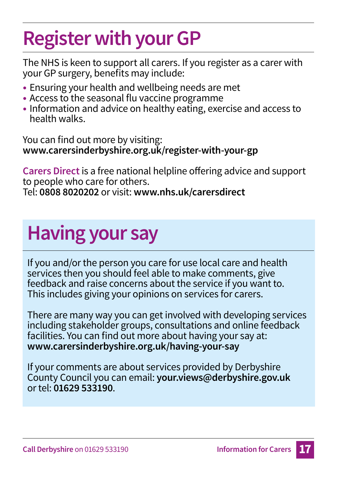# **Register with your GP**

The NHS is keen to support all carers. If you register as a carer with your GP surgery, benefits may include:

- Ensuring your health and wellbeing needs are met
- Access to the seasonal flu vaccine programme
- Information and advice on healthy eating, exercise and access to health walks.

You can find out more by visiting: **www.carersinderbyshire.org.uk/register-with-your-gp** 

**Carers Direct** is a free national helpline offering advice and support to people who care for others. Tel: **0808 8020202** or visit: **www.nhs.uk/carersdirect**

# **Having your say**

If you and/or the person you care for use local care and health services then you should feel able to make comments, give feedback and raise concerns about the service if you want to. This includes giving your opinions on services for carers.

There are many way you can get involved with developing services including stakeholder groups, consultations and online feedback facilities. You can find out more about having your say at: **www.carersinderbyshire.org.uk/having-your-say**

If your comments are about services provided by Derbyshire County Council you can email: **your.views@derbyshire.gov.uk** or tel: **01629 533190**.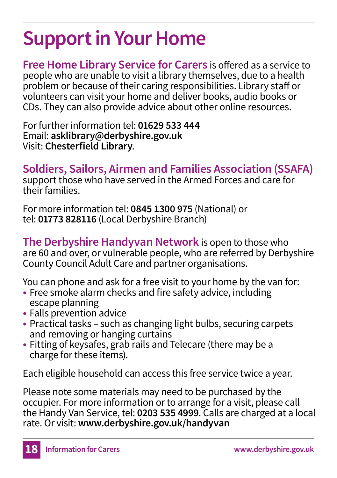# **Support in Your Home**

**Free Home Library Service for Carers** is offered as a service to people who are unable to visit a library themselves, due to a health problem or because of their caring responsibilities. Library staff or volunteers can visit your home and deliver books, audio books or CDs. They can also provide advice about other online resources.

For further information tel: **01629 533 444** Email: **asklibrary@derbyshire.gov.uk** Visit: **Chesterfield Library**.

**Soldiers, Sailors, Airmen and Families Association (SSAFA)**

support those who have served in the Armed Forces and care for their families.

For more information tel: **0845 1300 975** (National) or tel: **01773 828116** (Local Derbyshire Branch)

**The Derbyshire Handyvan Network** is open to those who are 60 and over, or vulnerable people, who are referred by Derbyshire County Council Adult Care and partner organisations.

You can phone and ask for a free visit to your home by the van for:

- Free smoke alarm checks and fire safety advice, including escape planning
- Falls prevention advice
- Practical tasks such as changing light bulbs, securing carpets and removing or hanging curtains
- Fitting of keysafes, grab rails and Telecare (there may be a charge for these items).

Each eligible household can access this free service twice a year.

Please note some materials may need to be purchased by the occupier. For more information or to arrange for a visit, please call the Handy Van Service, tel: **0203 535 4999**. Calls are charged at a local rate. Or visit: **www.derbyshire.gov.uk/handyvan**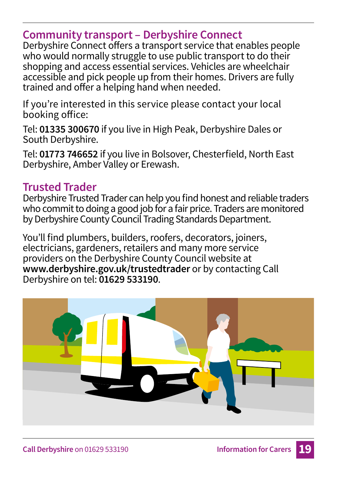#### **Community transport – Derbyshire Connect**

Derbyshire Connect offers a transport service that enables people who would normally struggle to use public transport to do their shopping and access essential services. Vehicles are wheelchair accessible and pick people up from their homes. Drivers are fully trained and offer a helping hand when needed.

If you're interested in this service please contact your local booking office:

Tel: **01335 300670** if you live in High Peak, Derbyshire Dales or South Derbyshire.

Tel: **01773 746652** if you live in Bolsover, Chesterfield, North East Derbyshire, Amber Valley or Erewash.

#### **Trusted Trader**

Derbyshire Trusted Trader can help you find honest and reliable traders who commit to doing a good job for a fair price. Traders are monitored by Derbyshire County Council Trading Standards Department.

You'll find plumbers, builders, roofers, decorators, joiners, electricians, gardeners, retailers and many more service providers on the Derbyshire County Council website at **www.derbyshire.gov.uk/trustedtrader** or by contacting Call Derbyshire on tel: **01629 533190**.